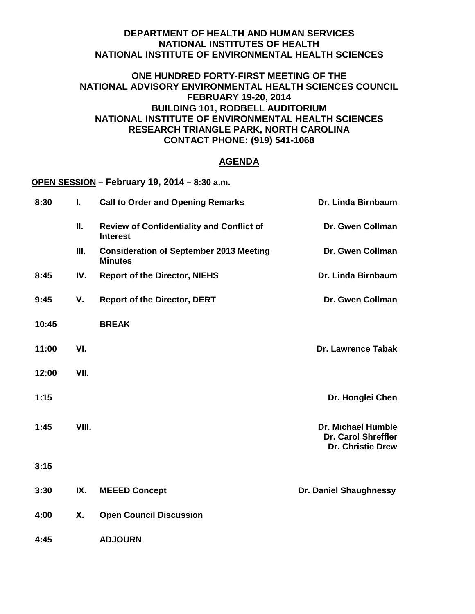### **DEPARTMENT OF HEALTH AND HUMAN SERVICES NATIONAL INSTITUTES OF HEALTH NATIONAL INSTITUTE OF ENVIRONMENTAL HEALTH SCIENCES**

# **ONE HUNDRED FORTY-FIRST MEETING OF THE NATIONAL ADVISORY ENVIRONMENTAL HEALTH SCIENCES COUNCIL FEBRUARY 19-20, 2014 BUILDING 101, RODBELL AUDITORIUM NATIONAL INSTITUTE OF ENVIRONMENTAL HEALTH SCIENCES RESEARCH TRIANGLE PARK, NORTH CAROLINA CONTACT PHONE: (919) 541-1068**

## **AGENDA**

**OPEN SESSION – February 19, 2014 – 8:30 a.m.** 

| 8:30  | ı.    | <b>Call to Order and Opening Remarks</b>                            | Dr. Linda Birnbaum                                                    |
|-------|-------|---------------------------------------------------------------------|-----------------------------------------------------------------------|
|       | Ш.    | <b>Review of Confidentiality and Conflict of</b><br><b>Interest</b> | Dr. Gwen Collman                                                      |
|       | Ш.    | <b>Consideration of September 2013 Meeting</b><br><b>Minutes</b>    | Dr. Gwen Collman                                                      |
| 8:45  | IV.   | <b>Report of the Director, NIEHS</b>                                | Dr. Linda Birnbaum                                                    |
| 9:45  | V.    | <b>Report of the Director, DERT</b>                                 | Dr. Gwen Collman                                                      |
| 10:45 |       | <b>BREAK</b>                                                        |                                                                       |
| 11:00 | VI.   |                                                                     | <b>Dr. Lawrence Tabak</b>                                             |
| 12:00 | VII.  |                                                                     |                                                                       |
| 1:15  |       |                                                                     | Dr. Honglei Chen                                                      |
| 1:45  | VIII. |                                                                     | Dr. Michael Humble<br><b>Dr. Carol Shreffler</b><br>Dr. Christie Drew |
| 3:15  |       |                                                                     |                                                                       |
| 3:30  | IX.   | <b>MEEED Concept</b>                                                | Dr. Daniel Shaughnessy                                                |
| 4:00  | Χ.    | <b>Open Council Discussion</b>                                      |                                                                       |
| 4:45  |       | <b>ADJOURN</b>                                                      |                                                                       |